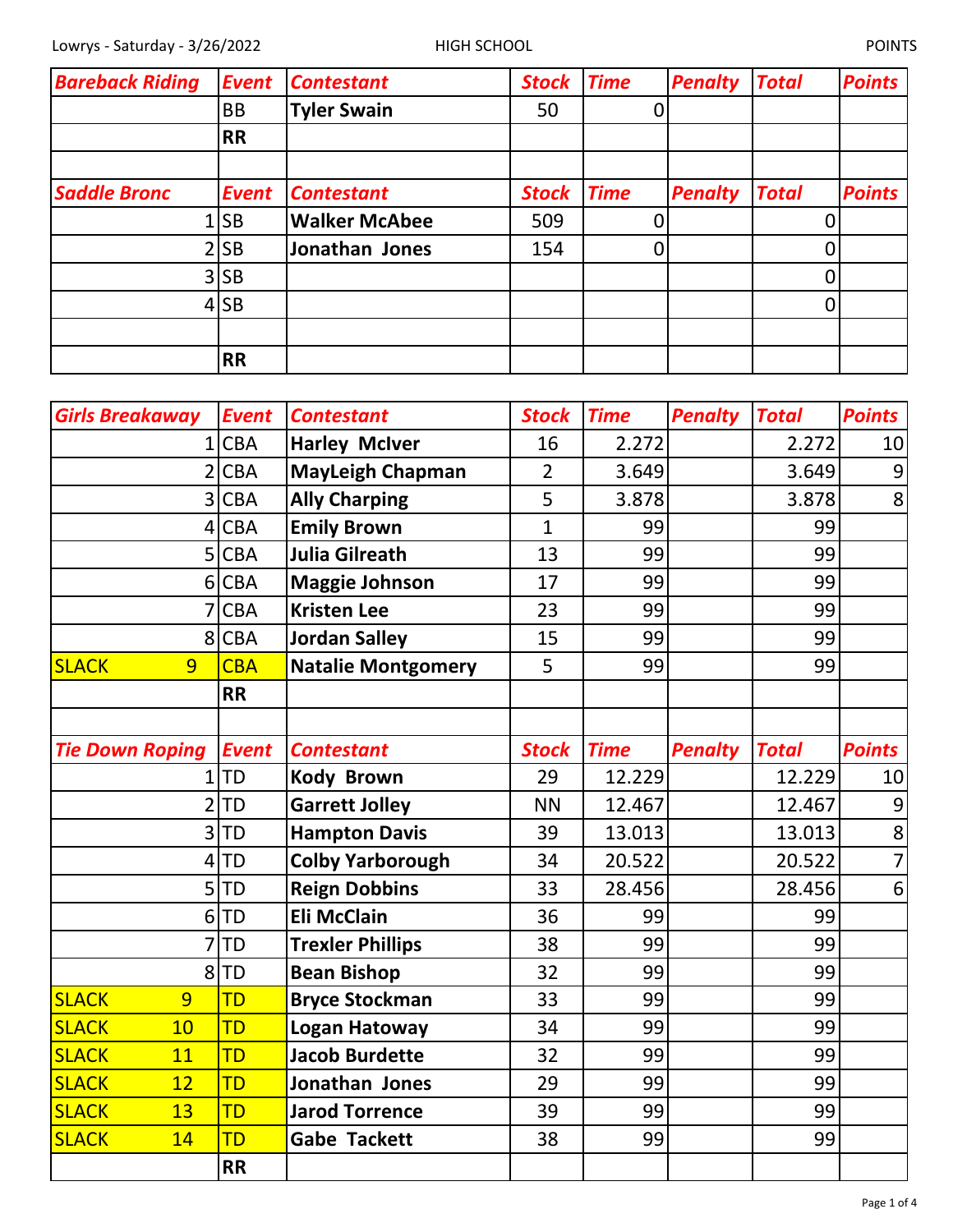| <b>Bareback Riding</b> | <b>Event</b> | <b>Contestant</b>    | <b>Stock</b> | <b>Time</b> | <b>Penalty</b> | <b>Total</b>   | <b>Points</b> |
|------------------------|--------------|----------------------|--------------|-------------|----------------|----------------|---------------|
|                        | BB           | <b>Tyler Swain</b>   | 50           |             |                |                |               |
|                        | <b>RR</b>    |                      |              |             |                |                |               |
|                        |              |                      |              |             |                |                |               |
| <b>Saddle Bronc</b>    | <b>Event</b> | <b>Contestant</b>    | <b>Stock</b> | <b>Time</b> | <b>Penalty</b> | <b>Total</b>   | <b>Points</b> |
|                        | <b>SB</b>    | <b>Walker McAbee</b> | 509          |             |                |                |               |
|                        | <b>SB</b>    | Jonathan Jones       | 154          |             |                |                |               |
|                        | $3$ SB       |                      |              |             |                |                |               |
|                        | $4$ SB       |                      |              |             |                | $\overline{0}$ |               |
|                        |              |                      |              |             |                |                |               |
|                        | <b>RR</b>    |                      |              |             |                |                |               |

| <b>Girls Breakaway</b> | <b>Event</b> | <b>Contestant</b>         | <b>Stock</b>   | <b>Time</b> | <b>Penalty</b> | <b>Total</b> | <b>Points</b>  |
|------------------------|--------------|---------------------------|----------------|-------------|----------------|--------------|----------------|
| $\mathbf{1}$           | <b>CBA</b>   | <b>Harley McIver</b>      | 16             | 2.272       |                | 2.272        | 10             |
| 2                      | <b>CBA</b>   | <b>MayLeigh Chapman</b>   | $\overline{2}$ | 3.649       |                | 3.649        | 9              |
| $\overline{3}$         | <b>CBA</b>   | <b>Ally Charping</b>      | 5              | 3.878       |                | 3.878        | 8              |
| 4                      | <b>CBA</b>   | <b>Emily Brown</b>        | $\mathbf{1}$   | 99          |                | 99           |                |
| 5                      | <b>CBA</b>   | <b>Julia Gilreath</b>     | 13             | 99          |                | 99           |                |
| 6                      | <b>CBA</b>   | <b>Maggie Johnson</b>     | 17             | 99          |                | 99           |                |
|                        | <b>CBA</b>   | <b>Kristen Lee</b>        | 23             | 99          |                | 99           |                |
| 8                      | <b>CBA</b>   | <b>Jordan Salley</b>      | 15             | 99          |                | 99           |                |
| <b>SLACK</b><br>9      | <b>CBA</b>   | <b>Natalie Montgomery</b> | 5              | 99          |                | 99           |                |
|                        | <b>RR</b>    |                           |                |             |                |              |                |
|                        |              |                           |                |             |                |              |                |
| <b>Tie Down Roping</b> | <b>Event</b> | <b>Contestant</b>         | <b>Stock</b>   | <b>Time</b> | <b>Penalty</b> | <b>Total</b> | <b>Points</b>  |
| 1                      | <b>TD</b>    | <b>Kody Brown</b>         | 29             | 12.229      |                | 12.229       | 10             |
| $\overline{2}$         | <b>TD</b>    | <b>Garrett Jolley</b>     | <b>NN</b>      | 12.467      |                | 12.467       | 9              |
| 3                      | <b>TD</b>    | <b>Hampton Davis</b>      | 39             | 13.013      |                | 13.013       | 8              |
| 4                      | <b>TD</b>    | <b>Colby Yarborough</b>   | 34             | 20.522      |                | 20.522       | $\overline{7}$ |
| 5                      | <b>TD</b>    | <b>Reign Dobbins</b>      | 33             | 28.456      |                | 28.456       | 6              |
| 6                      | <b>TD</b>    | <b>Eli McClain</b>        | 36             | 99          |                | 99           |                |
|                        | <b>TD</b>    | <b>Trexler Phillips</b>   | 38             | 99          |                | 99           |                |
| 8                      | <b>TD</b>    | <b>Bean Bishop</b>        | 32             | 99          |                | 99           |                |
| 9<br><b>SLACK</b>      | TD           | <b>Bryce Stockman</b>     | 33             | 99          |                | 99           |                |
| <b>SLACK</b><br>10     | <b>TD</b>    | <b>Logan Hatoway</b>      | 34             | 99          |                | 99           |                |
| <b>SLACK</b><br>11     | TD           | <b>Jacob Burdette</b>     | 32             | 99          |                | 99           |                |
| <b>SLACK</b><br>12     | TD           | Jonathan Jones            | 29             | 99          |                | 99           |                |
| <b>SLACK</b><br>13     | <b>TD</b>    | <b>Jarod Torrence</b>     | 39             | 99          |                | 99           |                |
| <b>SLACK</b><br>14     | TD           | <b>Gabe Tackett</b>       | 38             | 99          |                | 99           |                |
|                        | <b>RR</b>    |                           |                |             |                |              |                |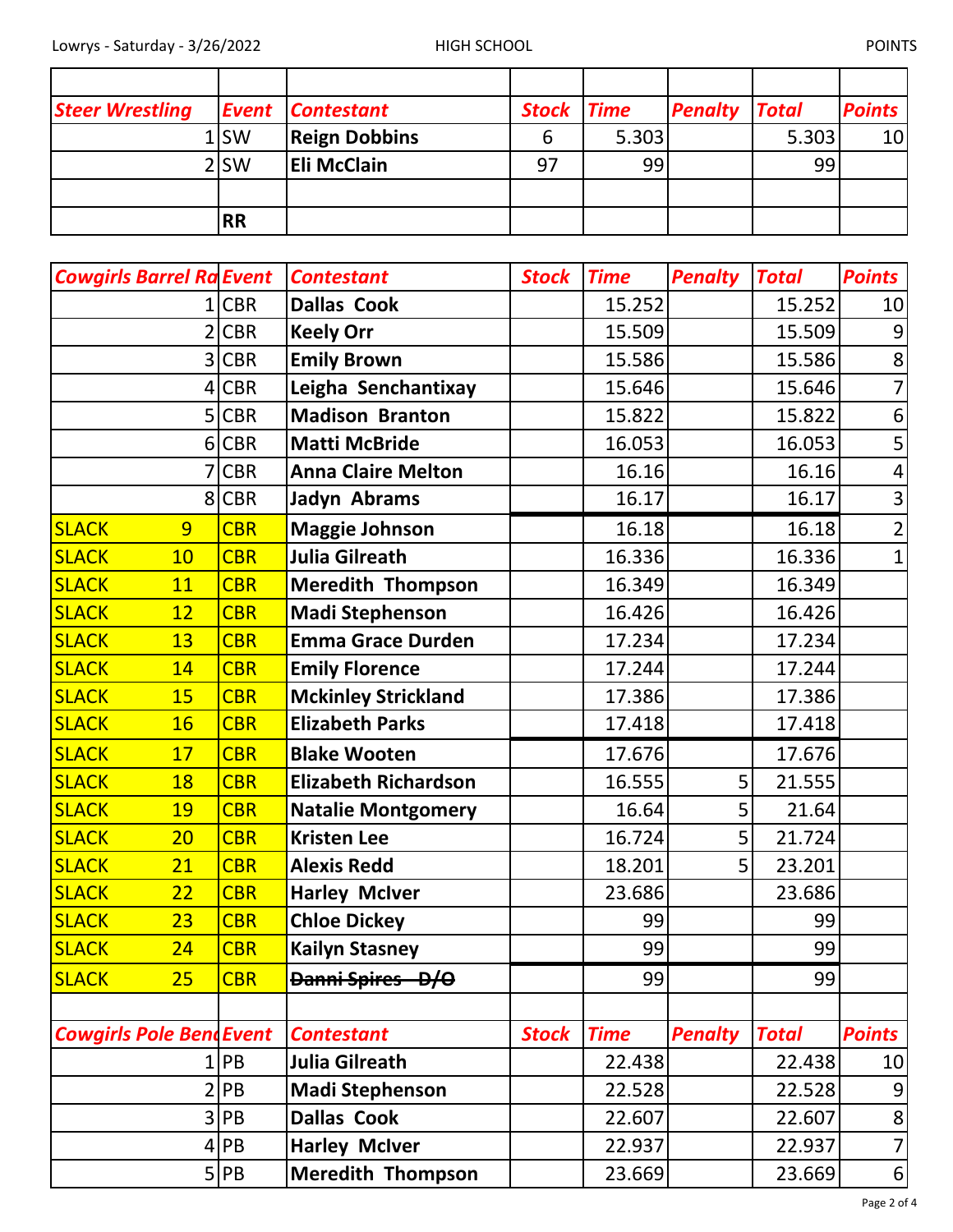| <b>Steer Wrestling</b> |                  | <b>Event Contestant</b> | <b>Stock Time</b> |       | <b>Penalty Total</b> |       | <b>Points</b>   |
|------------------------|------------------|-------------------------|-------------------|-------|----------------------|-------|-----------------|
|                        | $1$ SW           | <b>Reign Dobbins</b>    |                   | 5.303 |                      | 5.303 | 10 <sup>1</sup> |
|                        | 2 <sub>ISW</sub> | <b>Eli McClain</b>      | 97                | 99    |                      | 99    |                 |
|                        |                  |                         |                   |       |                      |       |                 |
|                        | <b>RR</b>        |                         |                   |       |                      |       |                 |

| <b>Cowgirls Barrel Ra Event</b> |                 | <b>Contestant</b>           | <b>Stock</b> | <b>Time</b> | <b>Penalty</b> | <b>Total</b> | <b>Points</b>  |
|---------------------------------|-----------------|-----------------------------|--------------|-------------|----------------|--------------|----------------|
|                                 | <b>CBR</b>      | <b>Dallas Cook</b>          |              | 15.252      |                | 15.252       | 10             |
|                                 | <b>CBR</b>      | <b>Keely Orr</b>            |              | 15.509      |                | 15.509       | 9              |
|                                 | <b>CBR</b><br>3 | <b>Emily Brown</b>          |              | 15.586      |                | 15.586       | 8              |
|                                 | <b>CBR</b><br>4 | Leigha Senchantixay         |              | 15.646      |                | 15.646       | 7              |
|                                 | <b>CBR</b><br>5 | <b>Madison Branton</b>      |              | 15.822      |                | 15.822       | 6              |
|                                 | <b>CBR</b><br>6 | <b>Matti McBride</b>        |              | 16.053      |                | 16.053       | 5              |
|                                 | <b>CBR</b>      | <b>Anna Claire Melton</b>   |              | 16.16       |                | 16.16        | 4              |
|                                 | <b>CBR</b><br>8 | Jadyn Abrams                |              | 16.17       |                | 16.17        | $\mathsf{3}$   |
| <b>SLACK</b><br>$\overline{9}$  | <b>CBR</b>      | <b>Maggie Johnson</b>       |              | 16.18       |                | 16.18        | $\overline{2}$ |
| <b>SLACK</b><br>10              | <b>CBR</b>      | <b>Julia Gilreath</b>       |              | 16.336      |                | 16.336       | $\mathbf 1$    |
| <b>SLACK</b><br>11              | <b>CBR</b>      | <b>Meredith Thompson</b>    |              | 16.349      |                | 16.349       |                |
| <b>SLACK</b><br>12              | <b>CBR</b>      | <b>Madi Stephenson</b>      |              | 16.426      |                | 16.426       |                |
| <b>SLACK</b><br>13              | <b>CBR</b>      | <b>Emma Grace Durden</b>    |              | 17.234      |                | 17.234       |                |
| <b>SLACK</b><br>14              | <b>CBR</b>      | <b>Emily Florence</b>       |              | 17.244      |                | 17.244       |                |
| <b>SLACK</b><br><b>15</b>       | <b>CBR</b>      | <b>Mckinley Strickland</b>  |              | 17.386      |                | 17.386       |                |
| <b>SLACK</b><br><b>16</b>       | <b>CBR</b>      | <b>Elizabeth Parks</b>      |              | 17.418      |                | 17.418       |                |
| <b>SLACK</b><br>17              | <b>CBR</b>      | <b>Blake Wooten</b>         |              | 17.676      |                | 17.676       |                |
| <b>SLACK</b><br>18              | <b>CBR</b>      | <b>Elizabeth Richardson</b> |              | 16.555      | 5              | 21.555       |                |
| <b>SLACK</b><br>19              | <b>CBR</b>      | <b>Natalie Montgomery</b>   |              | 16.64       | 5              | 21.64        |                |
| <b>SLACK</b><br>20              | <b>CBR</b>      | <b>Kristen Lee</b>          |              | 16.724      | 5              | 21.724       |                |
| <b>SLACK</b><br>21              | <b>CBR</b>      | <b>Alexis Redd</b>          |              | 18.201      | 5              | 23.201       |                |
| <b>SLACK</b><br>22              | <b>CBR</b>      | <b>Harley McIver</b>        |              | 23.686      |                | 23.686       |                |
| <b>SLACK</b><br>23              | <b>CBR</b>      | <b>Chloe Dickey</b>         |              | 99          |                | 99           |                |
| <b>SLACK</b><br>24              | <b>CBR</b>      | <b>Kailyn Stasney</b>       |              | 99          |                | 99           |                |
| <b>SLACK</b><br>25              | <b>CBR</b>      | Danni Spires - D/O          |              | 99          |                | 99           |                |
|                                 |                 |                             |              |             |                |              |                |
| <b>Cowgirls Pole BendEvent</b>  |                 | <b>Contestant</b>           | <b>Stock</b> | <b>Time</b> | <b>Penalty</b> | <b>Total</b> | <b>Points</b>  |
|                                 | PB              | <b>Julia Gilreath</b>       |              | 22.438      |                | 22.438       | 10             |
|                                 | PB<br>2         | <b>Madi Stephenson</b>      |              | 22.528      |                | 22.528       | 9              |
|                                 | PB<br>3         | <b>Dallas Cook</b>          |              | 22.607      |                | 22.607       | $\bf 8$        |
|                                 | PB<br>4         | <b>Harley McIver</b>        |              | 22.937      |                | 22.937       | $\overline{7}$ |
|                                 | $5$ PB          | <b>Meredith Thompson</b>    |              | 23.669      |                | 23.669       | $6 \mid$       |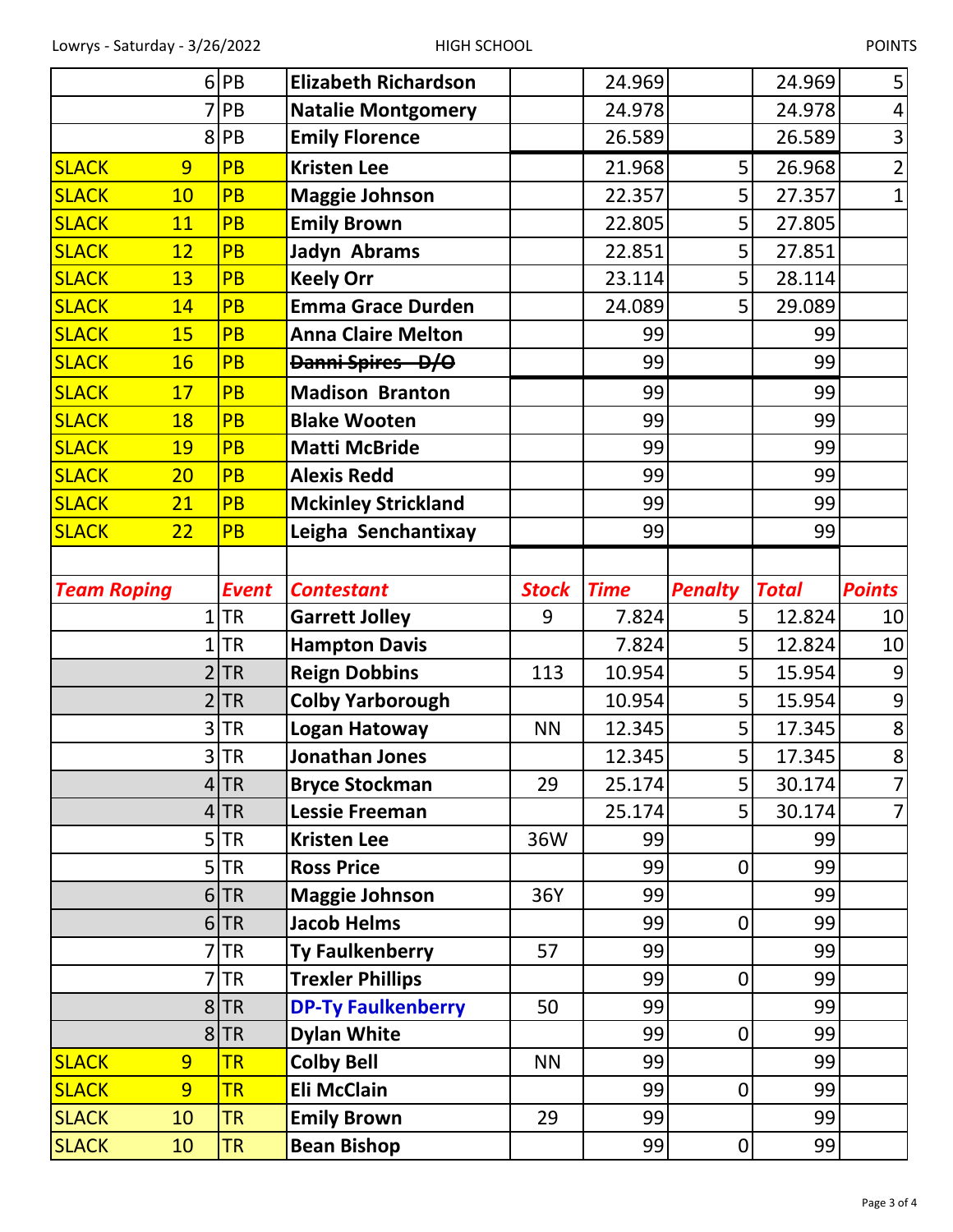|                              | 6        | PB                     | <b>Elizabeth Richardson</b>              |              | 24.969      |                | 24.969       | 5              |
|------------------------------|----------|------------------------|------------------------------------------|--------------|-------------|----------------|--------------|----------------|
|                              |          | PB                     | <b>Natalie Montgomery</b>                |              | 24.978      |                | 24.978       | 4              |
|                              | 8        | PB                     | <b>Emily Florence</b>                    |              | 26.589      |                | 26.589       | 3              |
| <b>SLACK</b>                 | 9        | <b>PB</b>              | <b>Kristen Lee</b>                       |              | 21.968      | 5              | 26.968       | $\overline{2}$ |
| <b>SLACK</b>                 | 10       | PB                     | <b>Maggie Johnson</b>                    |              | 22.357      | 5              | 27.357       | $\mathbf{1}$   |
| <b>SLACK</b>                 | 11       | <b>PB</b>              | <b>Emily Brown</b>                       |              | 22.805      | 5              | 27.805       |                |
| <b>SLACK</b>                 | 12       | PB                     | Jadyn Abrams                             |              | 22.851      | 5              | 27.851       |                |
| <b>SLACK</b>                 | 13       | <b>PB</b>              | <b>Keely Orr</b>                         |              | 23.114      | 5              | 28.114       |                |
| <b>SLACK</b>                 | 14       | <b>PB</b>              | <b>Emma Grace Durden</b>                 |              | 24.089      | 5              | 29.089       |                |
| <b>SLACK</b>                 | 15       | <b>PB</b>              | <b>Anna Claire Melton</b>                |              | 99          |                | 99           |                |
| <b>SLACK</b>                 | 16       | <b>PB</b>              | Danni Spires - D/O                       |              | 99          |                | 99           |                |
| <b>SLACK</b>                 | 17       | <b>PB</b>              | <b>Madison Branton</b>                   |              | 99          |                | 99           |                |
| <b>SLACK</b>                 | 18       | <b>PB</b>              | <b>Blake Wooten</b>                      |              | 99          |                | 99           |                |
| <b>SLACK</b>                 | 19       | PB                     | <b>Matti McBride</b>                     |              | 99          |                | 99           |                |
| <b>SLACK</b>                 | 20       | <b>PB</b>              | <b>Alexis Redd</b>                       |              | 99          |                | 99           |                |
| <b>SLACK</b>                 | 21       | PB                     | <b>Mckinley Strickland</b>               |              | 99          |                | 99           |                |
| <b>SLACK</b>                 | 22       | <b>PB</b>              | Leigha Senchantixay                      |              | 99          |                | 99           |                |
|                              |          |                        |                                          |              |             |                |              |                |
| <b>Team Roping</b>           |          | <b>Event</b>           | <b>Contestant</b>                        | <b>Stock</b> | <b>Time</b> | <b>Penalty</b> | <b>Total</b> | <b>Points</b>  |
|                              |          |                        |                                          |              |             |                |              |                |
|                              | 1        | <b>TR</b>              | <b>Garrett Jolley</b>                    | 9            | 7.824       | 5              | 12.824       | 10             |
|                              |          | TR                     | <b>Hampton Davis</b>                     |              | 7.824       | 5              | 12.824       | 10             |
|                              |          | <b>TR</b>              | <b>Reign Dobbins</b>                     | 113          | 10.954      | 5              | 15.954       | 9              |
|                              |          | <b>TR</b>              | <b>Colby Yarborough</b>                  |              | 10.954      | 5              | 15.954       | 9              |
|                              |          | $3$ TR                 | <b>Logan Hatoway</b>                     | <b>NN</b>    | 12.345      | 5              | 17.345       | 8              |
|                              |          | 3 TR                   | <b>Jonathan Jones</b>                    |              | 12.345      | 5              | 17.345       | 8              |
|                              |          | $4$ TR                 | <b>Bryce Stockman</b>                    | 29           | 25.174      | 5 <sup>1</sup> | 30.174       | $\overline{7}$ |
|                              |          | $4$ TR                 | <b>Lessie Freeman</b>                    |              | 25.174      | 5 <sup>1</sup> | 30.174       | $\overline{7}$ |
|                              |          | 5 TR                   | <b>Kristen Lee</b>                       | 36W          | 99          |                | 99           |                |
|                              |          | 5 TR                   | <b>Ross Price</b>                        |              | 99          | $\mathbf 0$    | 99           |                |
|                              |          | $6$ TR                 | <b>Maggie Johnson</b>                    | 36Y          | 99          |                | 99           |                |
|                              |          | $6$ TR                 | <b>Jacob Helms</b>                       |              | 99          | $\mathbf 0$    | 99           |                |
|                              |          | 7 TR                   | <b>Ty Faulkenberry</b>                   | 57           | 99          |                | 99           |                |
|                              |          | 7 TR                   | <b>Trexler Phillips</b>                  |              | 99          | $\mathbf 0$    | 99           |                |
|                              |          | $8$ TR                 | <b>DP-Ty Faulkenberry</b>                | 50           | 99          |                | 99           |                |
|                              |          | $8$ TR                 | <b>Dylan White</b>                       |              | 99          | 0              | 99           |                |
| <b>SLACK</b>                 | 9        | <b>TR</b>              | <b>Colby Bell</b>                        | <b>NN</b>    | 99          |                | 99           |                |
| <b>SLACK</b>                 | 9        | <b>TR</b>              | <b>Eli McClain</b>                       |              | 99          | $\pmb{0}$      | 99           |                |
| <b>SLACK</b><br><b>SLACK</b> | 10<br>10 | <b>TR</b><br><b>TR</b> | <b>Emily Brown</b><br><b>Bean Bishop</b> | 29           | 99<br>99    | 0              | 99<br>99     |                |